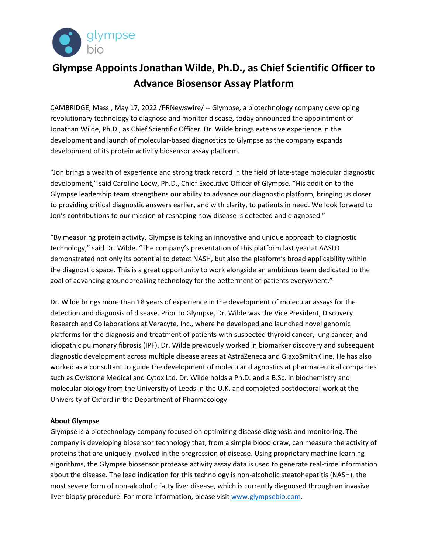

## **Glympse Appoints Jonathan Wilde, Ph.D., as Chief Scientific Officer to Advance Biosensor Assay Platform**

CAMBRIDGE, Mass., May 17, 2022 /PRNewswire/ -- Glympse, a biotechnology company developing revolutionary technology to diagnose and monitor disease, today announced the appointment of Jonathan Wilde, Ph.D., as Chief Scientific Officer. Dr. Wilde brings extensive experience in the development and launch of molecular-based diagnostics to Glympse as the company expands development of its protein activity biosensor assay platform.

"Jon brings a wealth of experience and strong track record in the field of late-stage molecular diagnostic development," said Caroline Loew, Ph.D., Chief Executive Officer of Glympse. "His addition to the Glympse leadership team strengthens our ability to advance our diagnostic platform, bringing us closer to providing critical diagnostic answers earlier, and with clarity, to patients in need. We look forward to Jon's contributions to our mission of reshaping how disease is detected and diagnosed."

"By measuring protein activity, Glympse is taking an innovative and unique approach to diagnostic technology," said Dr. Wilde. "The company's presentation of this platform last year at AASLD demonstrated not only its potential to detect NASH, but also the platform's broad applicability within the diagnostic space. This is a great opportunity to work alongside an ambitious team dedicated to the goal of advancing groundbreaking technology for the betterment of patients everywhere."

Dr. Wilde brings more than 18 years of experience in the development of molecular assays for the detection and diagnosis of disease. Prior to Glympse, Dr. Wilde was the Vice President, Discovery Research and Collaborations at Veracyte, Inc., where he developed and launched novel genomic platforms for the diagnosis and treatment of patients with suspected thyroid cancer, lung cancer, and idiopathic pulmonary fibrosis (IPF). Dr. Wilde previously worked in biomarker discovery and subsequent diagnostic development across multiple disease areas at AstraZeneca and GlaxoSmithKline. He has also worked as a consultant to guide the development of molecular diagnostics at pharmaceutical companies such as Owlstone Medical and Cytox Ltd. Dr. Wilde holds a Ph.D. and a B.Sc. in biochemistry and molecular biology from the University of Leeds in the U.K. and completed postdoctoral work at the University of Oxford in the Department of Pharmacology.

## **About Glympse**

Glympse is a biotechnology company focused on optimizing disease diagnosis and monitoring. The company is developing biosensor technology that, from a simple blood draw, can measure the activity of proteins that are uniquely involved in the progression of disease. Using proprietary machine learning algorithms, the Glympse biosensor protease activity assay data is used to generate real-time information about the disease. The lead indication for this technology is non-alcoholic steatohepatitis (NASH), the most severe form of non-alcoholic fatty liver disease, which is currently diagnosed through an invasive liver biopsy procedure. For more information, please visit [www.glympsebio.com.](http://www.glympsebio.com/)